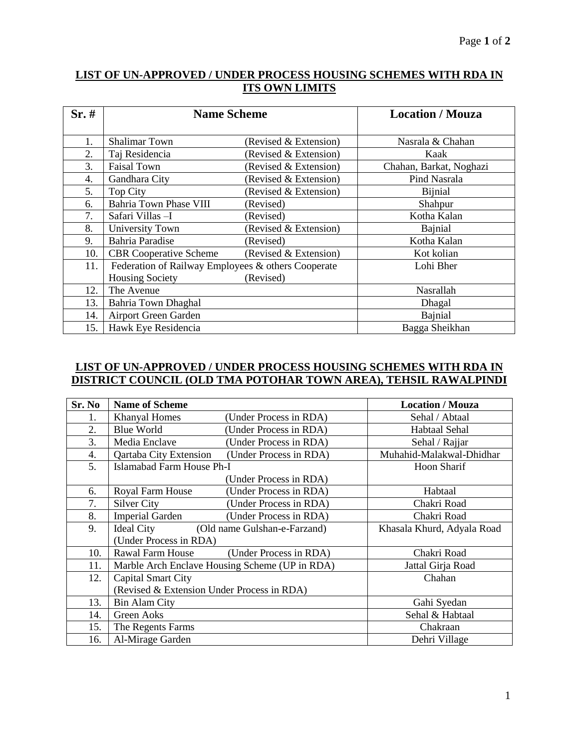# **LIST OF UN-APPROVED / UNDER PROCESS HOUSING SCHEMES WITH RDA IN ITS OWN LIMITS**

| Sr.# | <b>Name Scheme</b>                                 |                       | <b>Location / Mouza</b> |
|------|----------------------------------------------------|-----------------------|-------------------------|
|      |                                                    |                       |                         |
| 1.   | <b>Shalimar Town</b>                               | (Revised & Extension) | Nasrala & Chahan        |
| 2.   | Taj Residencia                                     | (Revised & Extension) | Kaak                    |
| 3.   | <b>Faisal Town</b>                                 | (Revised & Extension) | Chahan, Barkat, Noghazi |
| 4.   | Gandhara City                                      | (Revised & Extension) | Pind Nasrala            |
| 5.   | Top City                                           | (Revised & Extension) | Bijnial                 |
| 6.   | <b>Bahria Town Phase VIII</b>                      | (Revised)             | Shahpur                 |
| 7.   | Safari Villas - I                                  | (Revised)             | Kotha Kalan             |
| 8.   | University Town                                    | (Revised & Extension) | Bajnial                 |
| 9.   | <b>Bahria Paradise</b>                             | (Revised)             | Kotha Kalan             |
| 10.  | <b>CBR</b> Cooperative Scheme                      | (Revised & Extension) | Kot kolian              |
| 11.  | Federation of Railway Employees & others Cooperate |                       | Lohi Bher               |
|      | <b>Housing Society</b>                             | (Revised)             |                         |
| 12.  | The Avenue                                         |                       | Nasrallah               |
| 13.  | Bahria Town Dhaghal                                |                       | Dhagal                  |
| 14.  | Airport Green Garden                               |                       | Bajnial                 |
| 15.  | Hawk Eye Residencia                                |                       | Bagga Sheikhan          |

## **LIST OF UN-APPROVED / UNDER PROCESS HOUSING SCHEMES WITH RDA IN DISTRICT COUNCIL (OLD TMA POTOHAR TOWN AREA), TEHSIL RAWALPINDI**

| Sr. No | <b>Name of Scheme</b>                      |                                                | <b>Location / Mouza</b>    |
|--------|--------------------------------------------|------------------------------------------------|----------------------------|
| 1.     | <b>Khanyal Homes</b>                       | (Under Process in RDA)                         | Sehal / Abtaal             |
| 2.     | Blue World                                 | (Under Process in RDA)                         | <b>Habtaal Sehal</b>       |
| 3.     | Media Enclave                              | (Under Process in RDA)                         | Sehal / Rajjar             |
| 4.     | Qartaba City Extension                     | (Under Process in RDA)                         | Muhahid-Malakwal-Dhidhar   |
| 5.     | Islamabad Farm House Ph-I                  |                                                | Hoon Sharif                |
|        |                                            | (Under Process in RDA)                         |                            |
| 6.     | Royal Farm House                           | (Under Process in RDA)                         | Habtaal                    |
| 7.     | Silver City                                | (Under Process in RDA)                         | Chakri Road                |
| 8.     | <b>Imperial Garden</b>                     | (Under Process in RDA)                         | Chakri Road                |
| 9.     | <b>Ideal City</b>                          | (Old name Gulshan-e-Farzand)                   | Khasala Khurd, Adyala Road |
|        | (Under Process in RDA)                     |                                                |                            |
| 10.    | Rawal Farm House                           | (Under Process in RDA)                         | Chakri Road                |
| 11.    |                                            | Marble Arch Enclave Housing Scheme (UP in RDA) | Jattal Girja Road          |
| 12.    | Capital Smart City                         |                                                | Chahan                     |
|        | (Revised & Extension Under Process in RDA) |                                                |                            |
| 13.    | <b>Bin Alam City</b>                       |                                                | Gahi Syedan                |
| 14.    | <b>Green Aoks</b>                          |                                                | Sehal & Habtaal            |
| 15.    | The Regents Farms                          |                                                | Chakraan                   |
| 16.    | Al-Mirage Garden                           |                                                | Dehri Village              |